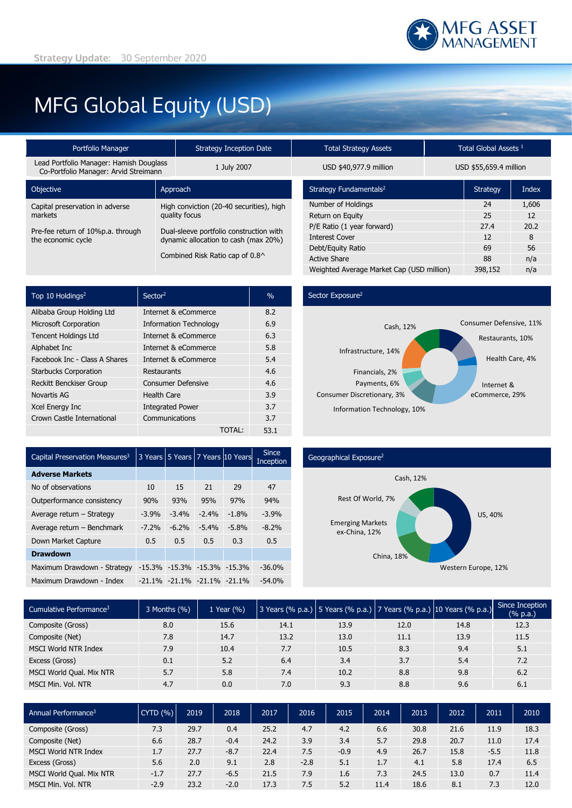# MFG Global Equity (USD)

| Portfolio Manager                                                                | <b>Strategy Inception Date</b>           | <b>Total Strategy Assets</b>       | Total Global Assets <sup>1</sup> |                        |  |
|----------------------------------------------------------------------------------|------------------------------------------|------------------------------------|----------------------------------|------------------------|--|
| Lead Portfolio Manager: Hamish Douglass<br>Co-Portfolio Manager: Arvid Streimann | 1 July 2007                              |                                    |                                  | USD \$55,659.4 millior |  |
| Objective                                                                        | Approach                                 | Strategy Fundamentals <sup>2</sup> | <b>Strategy</b>                  |                        |  |
| Capital preservation in adverse                                                  | High conviction (20-40 securities), high | Number of Holdings                 | 24                               |                        |  |
| markets                                                                          | quality focus                            | Return on Equity                   | 25                               |                        |  |
| Pre-fee return of 10%p.a. through                                                | Dual-sleeve portfolio construction with  | P/E Ratio (1 year forward)         | 27.4                             |                        |  |
| the economic cycle                                                               | dynamic allocation to cash (max 20%)     | <b>Interest Cover</b>              | 12                               |                        |  |
|                                                                                  |                                          | Debt/Equity Ratio                  | 69                               |                        |  |
| Combined Risk Ratio cap of 0.8^                                                  |                                          | Active Share                       | 88                               |                        |  |

| TULAI SU ALEYY ASSELS                     |         | Tuldi Giubdi Assels    |       |  |  |
|-------------------------------------------|---------|------------------------|-------|--|--|
| USD \$40,977.9 million                    |         | USD \$55,659.4 million |       |  |  |
| Strategy Fundamentals <sup>2</sup>        |         | <b>Strategy</b>        | Index |  |  |
| Number of Holdings                        |         | 24                     | 1,606 |  |  |
| Return on Equity                          | 25      | 12                     |       |  |  |
| P/E Ratio (1 year forward)                |         | 27.4                   | 20.2  |  |  |
| <b>Interest Cover</b>                     |         | 12                     | 8     |  |  |
| Debt/Equity Ratio                         |         | 69                     | 56    |  |  |
| <b>Active Share</b>                       |         | 88                     | n/a   |  |  |
| Weighted Average Market Cap (USD million) | 398,152 | n/a                    |       |  |  |

| Top 10 Holdings <sup>2</sup>  | Sector <sup>2</sup>           | $\frac{0}{0}$ |
|-------------------------------|-------------------------------|---------------|
| Alibaba Group Holding Ltd     | Internet & eCommerce          | 8.2           |
| <b>Microsoft Corporation</b>  | <b>Information Technology</b> | 6.9           |
| <b>Tencent Holdings Ltd</b>   | Internet & eCommerce          | 6.3           |
| Alphabet Inc                  | Internet & eCommerce          | 5.8           |
| Facebook Inc - Class A Shares | Internet & eCommerce          | 5.4           |
| <b>Starbucks Corporation</b>  | Restaurants                   | 4.6           |
| Reckitt Benckiser Group       | <b>Consumer Defensive</b>     | 4.6           |
| Novartis AG                   | <b>Health Care</b>            | 3.9           |
| Xcel Energy Inc               | <b>Integrated Power</b>       | 3.7           |
| Crown Castle International    | Communications                | 3.7           |
|                               | TOTAL:                        | 53.1          |

### Sector Exposure<sup>2</sup>



| Capital Preservation Measures <sup>3</sup> |          |         |                                   | 3 Years 5 Years 7 Years 10 Years | <b>Since</b><br>Inception |
|--------------------------------------------|----------|---------|-----------------------------------|----------------------------------|---------------------------|
| <b>Adverse Markets</b>                     |          |         |                                   |                                  |                           |
| No of observations                         | 10       | 15      | 21                                | 29                               | 47                        |
| Outperformance consistency                 | 90%      | 93%     | 95%                               | 97%                              | 94%                       |
| Average return - Strategy                  | $-3.9%$  | $-3.4%$ | $-2.4%$                           | $-1.8%$                          | $-3.9%$                   |
| Average return - Benchmark                 | $-7.2%$  | $-6.2%$ | $-5.4%$                           | $-5.8%$                          | $-8.2%$                   |
| Down Market Capture                        | 0.5      | 0.5     | 0.5                               | 0.3                              | 0.5                       |
| <b>Drawdown</b>                            |          |         |                                   |                                  |                           |
| Maximum Drawdown - Strategy                | $-15.3%$ |         | $-15.3\% -15.3\% -15.3\%$         |                                  | $-36.0%$                  |
| Maximum Drawdown - Index                   |          |         | $-21.1\% -21.1\% -21.1\% -21.1\%$ |                                  | $-54.0\%$                 |

### Geographical Exposure2



| Cumulative Performance <sup>3</sup> | 3 Months (%) | 1 Year (%) |      |      |      | 3 Years (% p.a.) 5 Years (% p.a.) 7 Years (% p.a.) 10 Years (% p.a.) | Since Inception<br>(% p.a.) |
|-------------------------------------|--------------|------------|------|------|------|----------------------------------------------------------------------|-----------------------------|
| Composite (Gross)                   | 8.0          | 15.6       | 14.1 | 13.9 | 12.0 | 14.8                                                                 | 12.3                        |
| Composite (Net)                     | 7.8          | 14.7       | 13.2 | 13.0 | 11.1 | 13.9                                                                 | 11.5                        |
| <b>MSCI World NTR Index</b>         | 7.9          | 10.4       | 7.7  | 10.5 | 8.3  | 9.4                                                                  | 5.1                         |
| Excess (Gross)                      | 0.1          | 5.2        | 6.4  | 3.4  | 3.7  | 5.4                                                                  | 7.2                         |
| MSCI World Qual. Mix NTR            | 5.7          | 5.8        | 7.4  | 10.2 | 8.8  | 9.8                                                                  | 6.2                         |
| MSCI Min. Vol. NTR                  | 4.7          | 0.0        | 7.0  | 9.3  | 8.8  | 9.6                                                                  | 6.1                         |

| Annual Performance <sup>3</sup> | CYTD(% ) | 2019 | 2018   | 2017 | 2016   | 2015   | 2014 | 2013 | 2012 | 2011   | 2010 |
|---------------------------------|----------|------|--------|------|--------|--------|------|------|------|--------|------|
| Composite (Gross)               | 7.3      | 29.7 | 0.4    | 25.2 | 4.7    | 4.2    | 6.6  | 30.8 | 21.6 | 11.9   | 18.3 |
| Composite (Net)                 | 6.6      | 28.7 | $-0.4$ | 24.2 | 3.9    | 3.4    | 5.7  | 29.8 | 20.7 | 11.0   | 17.4 |
| <b>MSCI World NTR Index</b>     | 1.7      | 27.7 | $-8.7$ | 22.4 | 7.5    | $-0.9$ | 4.9  | 26.7 | 15.8 | $-5.5$ | 11.8 |
| Excess (Gross)                  | 5.6      | 2.0  | 9.1    | 2.8  | $-2.8$ | 5.1    | 1.7  | 4.1  | 5.8  | 17.4   | 6.5  |
| MSCI World Qual. Mix NTR        | $-1.7$   | 27.7 | $-6.5$ | 21.5 | 7.9    | 1.6    | 7.3  | 24.5 | 13.0 | 0.7    | 11.4 |
| . Vol. NTR<br>MSCI Min.         | $-2.9$   | 23.2 | $-2.0$ | 17.3 | 7.5    | 5.2    | 11.4 | 18.6 | 8.1  | 7.3    | 12.0 |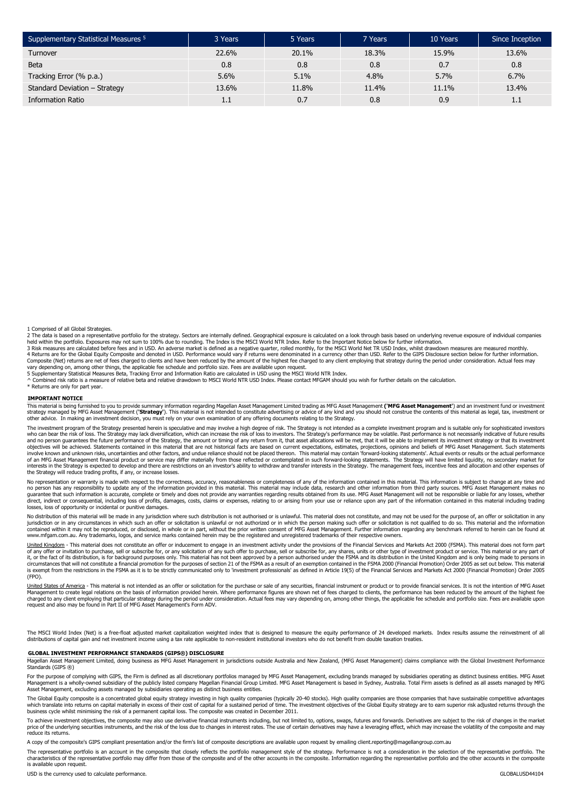| Supplementary Statistical Measures 5 | 3 Years | 5 Years | 7 Years | 10 Years | Since Inception |
|--------------------------------------|---------|---------|---------|----------|-----------------|
| Turnover                             | 22.6%   | 20.1%   | 18.3%   | 15.9%    | 13.6%           |
| <b>Beta</b>                          | 0.8     | 0.8     | 0.8     | 0.7      | 0.8             |
| Tracking Error (% p.a.)              | 5.6%    | 5.1%    | 4.8%    | 5.7%     | 6.7%            |
| Standard Deviation - Strategy        | 13.6%   | 11.8%   | 11.4%   | 11.1%    | 13.4%           |
| <b>Information Ratio</b>             | 1.1     | 0.7     | 0.8     | 0.9      | 1.1             |

1 Comprised of all Global Strategies.

2 The data is based on a representative portfolio for the strategy. Sectors are internally defined. Geographical exposure is calculated on a look through basis based on underlying revenue exposure of individual companies<br>h Composite (Net) returns are net of fees charged to clients and have been reduced by the amount of the highest fee charged to any client employing that strategy during the period under consideration. Actual fees may

vary depending on, among other things, the applicable fee schedule and portfolio size. Fees are available upon request.

5 Supplementary Statistical Measures Beta, Tracking Error and Information Ratio are calculated in USD using the MSCI World NTR Index.<br>^ Combined risk ratio is a measure of relative beta and relative drawdown to MSCI World \* Returns are only for part year.

#### **IMPORTANT NOTICE**

This material is being furnished to you to provide summary information regarding Magellan Asset Management Limited trading as MFG Asset Management ("**MFG Asset Management'**) and an investment fund or investment fund or inv other advice. In making an investment decision, you must rely on your own examination of any offering documents relating to the Strategy.

The investment program of the Strategy presented herein is speculative and may involve a high degree of risk. The Strategy is not intended as a complete investment program and is suitable only for sophisticated investors n can be a final production of the Strategy may lact diversification, which can increase the risk of loss to investors. The Strategy's performance may be volatile. Past performance is not necessarily indicative of future r and no person guarantees the future performance of the Strategy, the amount or timing of any return from it, that asset allocations will be met, that it will be able to implement its investment strategy or that its investm of an MFG Asset Management financial product or service may differ materially from those reflected or contemplated in such forward-looking statements. The Strategy will have limited liquidity, no secondary market for<br>inter

No representation or warranty is made with respect to the correctness, accuracy, reasonableness or completeness of any of the information contained in this material. This information is subject to change at any time and<br>no guarantee that such information is accurate, complete or timely and does not provide any warranties regarding results obtained from its use. MFG Asset Management will not be responsible or liable for any losses, whether<br>di losses, loss of opportunity or incidental or punitive damages.

No distribution of this material will be made in any jurisdiction where such distribution is not authorised or is unlawful. This material does not constitute, and may not be used for the purpose of, an offer or solicitatio jurisdiction or in any circumstances in which such an ofter or solicitation is unlawful or not authorized or in which the person making such offer or solicitation is not qualified to do so. This material and the informatio www.mfgam.com.au. Any trademarks, logos, and service marks contained herein may be the registered and unregistered trademarks of their respective owners.

United Kingdom - This material does not constitute an offer or inducement to engage in an investment activity under the provisions of the Financial Services and Markets Act 2000 (FSMA). This material does not form part of any offer or invitation to purchase, sell or subscribe for, or any solicitation of any such offer to purchase, sell or subscribe for, any shares, units or other type of investment product or service. This material or an (FPO).

<u>United States of America</u> - This material is not intended as an offer or solicitation for the purchase or sale of any securities, financial instrument or product or to provide financial services. It is not the intention o request and also may be found in Part II of MFG Asset Management's Form ADV.

The MSCI World Index (Net) is a free-float adjusted market capitalization weighted index that is designed to measure the equity performance of 24 developed markets. Index results assume the reinvestment of all<br>distribution

#### **GLOBAL INVESTMENT PERFORMANCE STANDARDS (GIPS®) DISCLOSURE**

Magellan Asset Management Limited, doing business as MFG Asset Management in jurisdictions outside Australia and New Zealand, (MFG Asset Management) claims compliance with the Global Investment Performance Standards (GIPS ®)

For the purpose of complying with GIPS, the Firm is defined as all discretionary portfolios managed by MFG Asset Management, excluding brands managed by subsidiaries operating as distinct business entities. MFG Asset Management is a wholly-owned subsidiary of the publicly listed company Magellan Financial Group Limited. MFG Asset Management is based in Sydney, Australia. Total Firm assets is defined as all assets managed by MFG<br>Asset M

The Global Equity composite is a concentrated global equity strategy investing in high quality companies (typically 20-40 stocks). High quality companies are those companies that have sustainable competitive advantages which translate into returns on capital materially in excess of their cost of capital for a sustained period of time. The investment objectives of the Global Equity strategy are to earn superior risk adjusted returns throu

To achieve investment objectives, the composite may also use derivative financial instruments including, but not limited to, options, swaps, futures and forwards. Derivatives are subject to the risk of changes in the marke price of the underlying securities instruments, and the risk of the loss due to changes in interest rates. The use of certain derivatives may have a leveraging effect, which may increase the volatility of the composite and reduce its returns.

A copy of the composite's GIPS compliant presentation and/or the firm's list of composite descriptions are available upon request by emailing client.reporting@magellangroup.com.au

The representative portfolio is an account in the composite that closely reflects the portfolio management style of the strategy. Performance is not a consideration in the selection of the representative portfolio. The characteristics of the representative portfolio may differ from those of the composite and of the other accounts in the composite. Information regarding the representative portfolio and the other accounts in the composite is available upon request.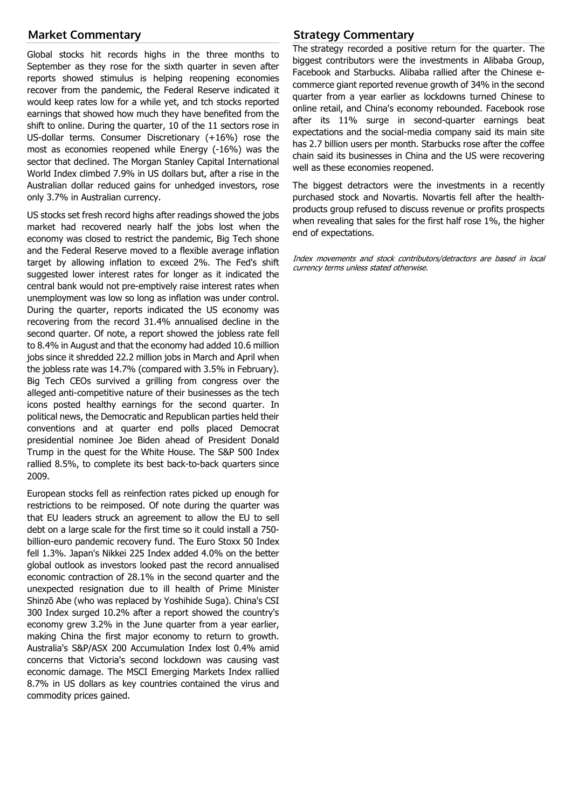## **Market Commentary**

Global stocks hit records highs in the three months to September as they rose for the sixth quarter in seven after reports showed stimulus is helping reopening economies recover from the pandemic, the Federal Reserve indicated it would keep rates low for a while yet, and tch stocks reported earnings that showed how much they have benefited from the shift to online. During the quarter, 10 of the 11 sectors rose in US-dollar terms. Consumer Discretionary (+16%) rose the most as economies reopened while Energy (-16%) was the sector that declined. The Morgan Stanley Capital International World Index climbed 7.9% in US dollars but, after a rise in the Australian dollar reduced gains for unhedged investors, rose only 3.7% in Australian currency.

US stocks set fresh record highs after readings showed the jobs market had recovered nearly half the jobs lost when the economy was closed to restrict the pandemic, Big Tech shone and the Federal Reserve moved to a flexible average inflation target by allowing inflation to exceed 2%. The Fed's shift suggested lower interest rates for longer as it indicated the central bank would not pre-emptively raise interest rates when unemployment was low so long as inflation was under control. During the quarter, reports indicated the US economy was recovering from the record 31.4% annualised decline in the second quarter. Of note, a report showed the jobless rate fell to 8.4% in August and that the economy had added 10.6 million jobs since it shredded 22.2 million jobs in March and April when the jobless rate was 14.7% (compared with 3.5% in February). Big Tech CEOs survived a grilling from congress over the alleged anti-competitive nature of their businesses as the tech icons posted healthy earnings for the second quarter. In political news, the Democratic and Republican parties held their conventions and at quarter end polls placed Democrat presidential nominee Joe Biden ahead of President Donald Trump in the quest for the White House. The S&P 500 Index rallied 8.5%, to complete its best back-to-back quarters since 2009.

European stocks fell as reinfection rates picked up enough for restrictions to be reimposed. Of note during the quarter was that EU leaders struck an agreement to allow the EU to sell debt on a large scale for the first time so it could install a 750 billion-euro pandemic recovery fund. The Euro Stoxx 50 Index fell 1.3%. Japan's Nikkei 225 Index added 4.0% on the better global outlook as investors looked past the record annualised economic contraction of 28.1% in the second quarter and the unexpected resignation due to ill health of Prime Minister Shinzō Abe (who was replaced by Yoshihide Suga). China's CSI 300 Index surged 10.2% after a report showed the country's economy grew 3.2% in the June quarter from a year earlier, making China the first major economy to return to growth. Australia's S&P/ASX 200 Accumulation Index lost 0.4% amid concerns that Victoria's second lockdown was causing vast economic damage. The MSCI Emerging Markets Index rallied 8.7% in US dollars as key countries contained the virus and commodity prices gained.

## **Strategy Commentary**

The strategy recorded a positive return for the quarter. The biggest contributors were the investments in Alibaba Group, Facebook and Starbucks. Alibaba rallied after the Chinese ecommerce giant reported revenue growth of 34% in the second quarter from a year earlier as lockdowns turned Chinese to online retail, and China's economy rebounded. Facebook rose after its 11% surge in second-quarter earnings beat expectations and the social-media company said its main site has 2.7 billion users per month. Starbucks rose after the coffee chain said its businesses in China and the US were recovering well as these economies reopened.

The biggest detractors were the investments in a recently purchased stock and Novartis. Novartis fell after the healthproducts group refused to discuss revenue or profits prospects when revealing that sales for the first half rose 1%, the higher end of expectations.

Index movements and stock contributors/detractors are based in local currency terms unless stated otherwise.